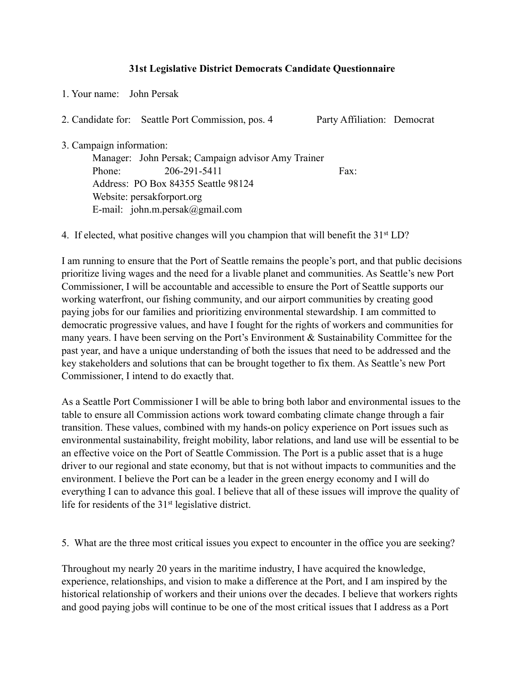## **31st Legislative District Democrats Candidate Questionnaire**

1. Your name: John Persak

2. Candidate for: Seattle Port Commission, pos. 4 Party Affiliation: Democrat

3. Campaign information:

 Manager: John Persak; Campaign advisor Amy Trainer Phone: 206-291-5411 Fax: Address: PO Box 84355 Seattle 98124 Website: persakforport.org E-mail: john.m.persak@gmail.com

4. If elected, what positive changes will you champion that will benefit the 31<sup>st</sup> LD?

I am running to ensure that the Port of Seattle remains the people's port, and that public decisions prioritize living wages and the need for a livable planet and communities. As Seattle's new Port Commissioner, I will be accountable and accessible to ensure the Port of Seattle supports our working waterfront, our fishing community, and our airport communities by creating good paying jobs for our families and prioritizing environmental stewardship. I am committed to democratic progressive values, and have I fought for the rights of workers and communities for many years. I have been serving on the Port's Environment & Sustainability Committee for the past year, and have a unique understanding of both the issues that need to be addressed and the key stakeholders and solutions that can be brought together to fix them. As Seattle's new Port Commissioner, I intend to do exactly that.

As a Seattle Port Commissioner I will be able to bring both labor and environmental issues to the table to ensure all Commission actions work toward combating climate change through a fair transition. These values, combined with my hands-on policy experience on Port issues such as environmental sustainability, freight mobility, labor relations, and land use will be essential to be an effective voice on the Port of Seattle Commission. The Port is a public asset that is a huge driver to our regional and state economy, but that is not without impacts to communities and the environment. I believe the Port can be a leader in the green energy economy and I will do everything I can to advance this goal. I believe that all of these issues will improve the quality of life for residents of the 31st legislative district.

5. What are the three most critical issues you expect to encounter in the office you are seeking?

Throughout my nearly 20 years in the maritime industry, I have acquired the knowledge, experience, relationships, and vision to make a difference at the Port, and I am inspired by the historical relationship of workers and their unions over the decades. I believe that workers rights and good paying jobs will continue to be one of the most critical issues that I address as a Port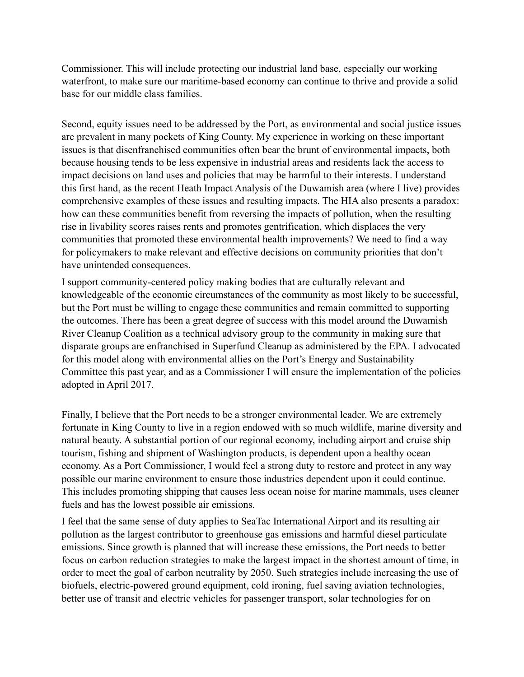Commissioner. This will include protecting our industrial land base, especially our working waterfront, to make sure our maritime-based economy can continue to thrive and provide a solid base for our middle class families.

Second, equity issues need to be addressed by the Port, as environmental and social justice issues are prevalent in many pockets of King County. My experience in working on these important issues is that disenfranchised communities often bear the brunt of environmental impacts, both because housing tends to be less expensive in industrial areas and residents lack the access to impact decisions on land uses and policies that may be harmful to their interests. I understand this first hand, as the recent Heath Impact Analysis of the Duwamish area (where I live) provides comprehensive examples of these issues and resulting impacts. The HIA also presents a paradox: how can these communities benefit from reversing the impacts of pollution, when the resulting rise in livability scores raises rents and promotes gentrification, which displaces the very communities that promoted these environmental health improvements? We need to find a way for policymakers to make relevant and effective decisions on community priorities that don't have unintended consequences.

I support community-centered policy making bodies that are culturally relevant and knowledgeable of the economic circumstances of the community as most likely to be successful, but the Port must be willing to engage these communities and remain committed to supporting the outcomes. There has been a great degree of success with this model around the Duwamish River Cleanup Coalition as a technical advisory group to the community in making sure that disparate groups are enfranchised in Superfund Cleanup as administered by the EPA. I advocated for this model along with environmental allies on the Port's Energy and Sustainability Committee this past year, and as a Commissioner I will ensure the implementation of the policies adopted in April 2017.

Finally, I believe that the Port needs to be a stronger environmental leader. We are extremely fortunate in King County to live in a region endowed with so much wildlife, marine diversity and natural beauty. A substantial portion of our regional economy, including airport and cruise ship tourism, fishing and shipment of Washington products, is dependent upon a healthy ocean economy. As a Port Commissioner, I would feel a strong duty to restore and protect in any way possible our marine environment to ensure those industries dependent upon it could continue. This includes promoting shipping that causes less ocean noise for marine mammals, uses cleaner fuels and has the lowest possible air emissions.

I feel that the same sense of duty applies to SeaTac International Airport and its resulting air pollution as the largest contributor to greenhouse gas emissions and harmful diesel particulate emissions. Since growth is planned that will increase these emissions, the Port needs to better focus on carbon reduction strategies to make the largest impact in the shortest amount of time, in order to meet the goal of carbon neutrality by 2050. Such strategies include increasing the use of biofuels, electric-powered ground equipment, cold ironing, fuel saving aviation technologies, better use of transit and electric vehicles for passenger transport, solar technologies for on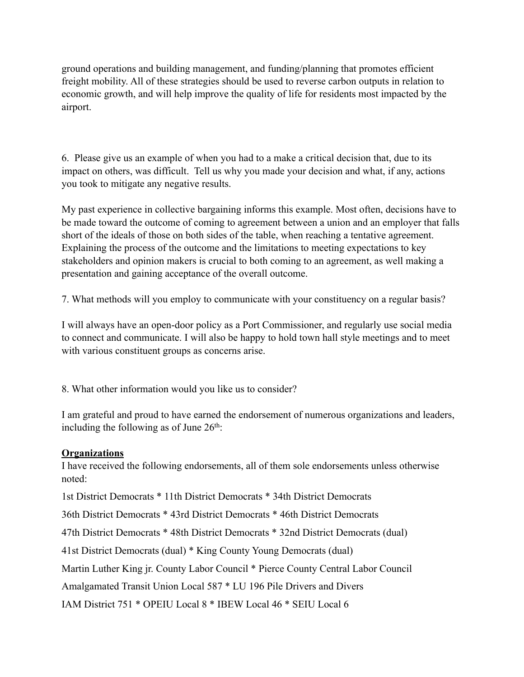ground operations and building management, and funding/planning that promotes efficient freight mobility. All of these strategies should be used to reverse carbon outputs in relation to economic growth, and will help improve the quality of life for residents most impacted by the airport.

6. Please give us an example of when you had to a make a critical decision that, due to its impact on others, was difficult. Tell us why you made your decision and what, if any, actions you took to mitigate any negative results.

My past experience in collective bargaining informs this example. Most often, decisions have to be made toward the outcome of coming to agreement between a union and an employer that falls short of the ideals of those on both sides of the table, when reaching a tentative agreement. Explaining the process of the outcome and the limitations to meeting expectations to key stakeholders and opinion makers is crucial to both coming to an agreement, as well making a presentation and gaining acceptance of the overall outcome.

7. What methods will you employ to communicate with your constituency on a regular basis?

I will always have an open-door policy as a Port Commissioner, and regularly use social media to connect and communicate. I will also be happy to hold town hall style meetings and to meet with various constituent groups as concerns arise.

8. What other information would you like us to consider?

I am grateful and proud to have earned the endorsement of numerous organizations and leaders, including the following as of June  $26<sup>th</sup>$ .

## **Organizations**

I have received the following endorsements, all of them sole endorsements unless otherwise noted:

1st District Democrats \* 11th District Democrats \* 34th District Democrats

36th District Democrats \* 43rd District Democrats \* 46th District Democrats

47th District Democrats \* 48th District Democrats \* 32nd District Democrats (dual)

41st District Democrats (dual) \* King County Young Democrats (dual)

Martin Luther King jr. County Labor Council \* Pierce County Central Labor Council

Amalgamated Transit Union Local 587 \* LU 196 Pile Drivers and Divers

IAM District 751 \* OPEIU Local 8 \* IBEW Local 46 \* SEIU Local 6